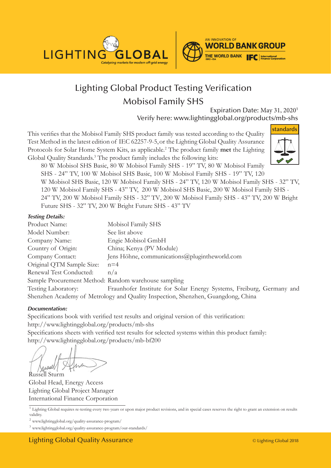



# Lighting Global Product Testing Verification Mobisol Family SHS

Expiration Date: May 31, 2020<sup>1</sup> Verify here: www.lightingglobal.org/products/mb-shs

This verifies that the Mobisol Family SHS product family was tested according to the Quality Test Method in the latest edition of IEC 62257-9-5,or the Lighting Global Quality Assurance Protocols for Solar Home System Kits, as applicable.<sup>2</sup> The product family **met** the Lighting Global Quality Standards.<sup>3</sup> The product family includes the following kits:



80 W Mobisol SHS Basic, 80 W Mobisol Family SHS - 19" TV, 80 W Mobisol Family SHS - 24" TV, 100 W Mobisol SHS Basic, 100 W Mobisol Family SHS - 19" TV, 120

W Mobisol SHS Basic, 120 W Mobisol Family SHS - 24" TV, 120 W Mobisol Family SHS - 32" TV, 120 W Mobisol Family SHS - 43" TV, 200 W Mobisol SHS Basic, 200 W Mobisol Family SHS -

24" TV, 200 W Mobisol Family SHS - 32" TV, 200 W Mobisol Family SHS - 43" TV, 200 W Bright Future SHS - 32" TV, 200 W Bright Future SHS - 43" TV

#### *Testing Details:*

| Product Name:                                        | Mobisol Family SHS                                                               |
|------------------------------------------------------|----------------------------------------------------------------------------------|
| Model Number:                                        | See list above                                                                   |
| Company Name:                                        | Engie Mobisol GmbH                                                               |
| Country of Origin:                                   | China; Kenya (PV Module)                                                         |
| Company Contact:                                     | Jens Höhne, communications $\omega$ plugintheworld.com                           |
| Original QTM Sample Size:                            | $n=4$                                                                            |
| Renewal Test Conducted:                              | n/a                                                                              |
| Sample Procurement Method: Random warehouse sampling |                                                                                  |
| Testing Laboratory:                                  | Fraunhofer Institute for Solar Energy Systems, Freiburg, Germany and             |
|                                                      | Shenzhen Academy of Metrology and Quality Inspection, Shenzhen, Guangdong, China |

#### *Documentation:*

Specifications book with verified test results and original version of this verification: http://www.lightingglobal.org/products/mb-shs Specifications sheets with verified test results for selected systems within this product family: http://www.lightingglobal.org/products/mb-bf200

Russell Sturm

Global Head, Energy Access Lighting Global Project Manager International Finance Corporation

<sup>&</sup>lt;sup>1</sup> Lighting Global requires re-testing every two years or upon major product revisions, and in special cases reserves the right to grant an extension on results validity.

<sup>2</sup> www.lightingglobal.org/quality-assurance-program/

<sup>3</sup> www.lightingglobal.org/quality-assurance-program/our-standards/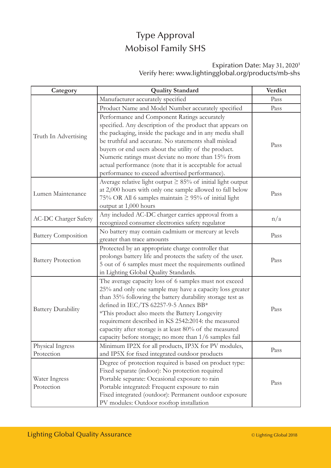## Type Approval Mobisol Family SHS

### Expiration Date: May 31, 2020<sup>1</sup> Verify here: www.lightingglobal.org/products/mb-shs

| Category                    | <b>Quality Standard</b>                                          | Verdict |
|-----------------------------|------------------------------------------------------------------|---------|
| Truth In Advertising        | Manufacturer accurately specified                                | Pass    |
|                             | Product Name and Model Number accurately specified               | Pass    |
|                             | Performance and Component Ratings accurately                     |         |
|                             | specified. Any description of the product that appears on        | Pass    |
|                             | the packaging, inside the package and in any media shall         |         |
|                             | be truthful and accurate. No statements shall mislead            |         |
|                             | buyers or end users about the utility of the product.            |         |
|                             | Numeric ratings must deviate no more than 15% from               |         |
|                             | actual performance (note that it is acceptable for actual        |         |
|                             | performance to exceed advertised performance).                   |         |
|                             | Average relative light output $\geq$ 85% of initial light output | Pass    |
|                             | at 2,000 hours with only one sample allowed to fall below        |         |
| Lumen Maintenance           | 75% OR All 6 samples maintain ≥ 95% of initial light             |         |
|                             | output at 1,000 hours                                            |         |
|                             | Any included AC-DC charger carries approval from a               | n/a     |
| <b>AC-DC Charger Safety</b> | recognized consumer electronics safety regulator                 |         |
|                             | No battery may contain cadmium or mercury at levels              | Pass    |
| <b>Battery Composition</b>  | greater than trace amounts                                       |         |
| <b>Battery Protection</b>   | Protected by an appropriate charge controller that               | Pass    |
|                             | prolongs battery life and protects the safety of the user.       |         |
|                             | 5 out of 6 samples must meet the requirements outlined           |         |
|                             | in Lighting Global Quality Standards.                            |         |
|                             | The average capacity loss of 6 samples must not exceed           | Pass    |
|                             | 25% and only one sample may have a capacity loss greater         |         |
| <b>Battery Durability</b>   | than 35% following the battery durability storage test as        |         |
|                             | defined in IEC/TS 62257-9-5 Annex BB*                            |         |
|                             | *This product also meets the Battery Longevity                   |         |
|                             | requirement described in KS 2542:2014: the measured              |         |
|                             | capactity after storage is at least 80% of the measured          |         |
|                             | capacity before storage; no more than 1/6 samples fail           |         |
| Physical Ingress            | Minimum IP2X for all products, IP3X for PV modules,              | Pass    |
| Protection                  | and IP5X for fixed integrated outdoor products                   |         |
| Water Ingress<br>Protection | Degree of protection required is based on product type:          | Pass    |
|                             | Fixed separate (indoor): No protection required                  |         |
|                             | Portable separate: Occasional exposure to rain                   |         |
|                             | Portable integrated: Frequent exposure to rain                   |         |
|                             | Fixed integrated (outdoor): Permanent outdoor exposure           |         |
|                             | PV modules: Outdoor rooftop installation                         |         |